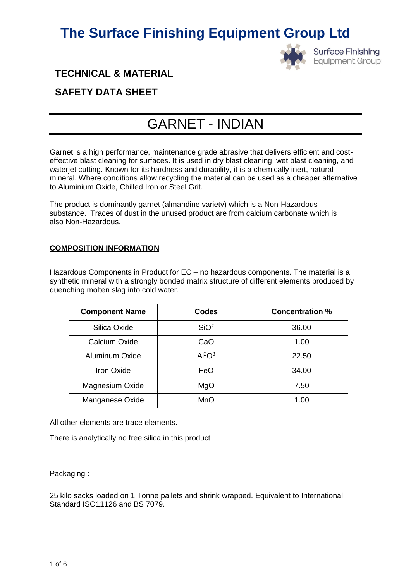

**Surface Finishing Equipment Group** 

**TECHNICAL & MATERIAL** 

# **SAFETY DATA SHEET**

# GARNET - INDIAN

Garnet is a high performance, maintenance grade abrasive that delivers efficient and costeffective blast cleaning for surfaces. It is used in dry blast cleaning, wet blast cleaning, and waterjet cutting. Known for its hardness and durability, it is a chemically inert, natural mineral. Where conditions allow recycling the material can be used as a cheaper alternative to Aluminium Oxide, Chilled Iron or Steel Grit.

The product is dominantly garnet (almandine variety) which is a Non-Hazardous substance. Traces of dust in the unused product are from calcium carbonate which is also Non-Hazardous.

# **COMPOSITION INFORMATION**

Hazardous Components in Product for EC – no hazardous components. The material is a synthetic mineral with a strongly bonded matrix structure of different elements produced by quenching molten slag into cold water.

| <b>Component Name</b> | <b>Codes</b>                   | <b>Concentration %</b> |
|-----------------------|--------------------------------|------------------------|
| Silica Oxide          | SiO <sup>2</sup>               | 36.00                  |
| Calcium Oxide         | CaO                            | 1.00                   |
| Aluminum Oxide        | Al <sup>2</sup> O <sup>3</sup> | 22.50                  |
| Iron Oxide            | FeO                            | 34.00                  |
| Magnesium Oxide       | MgO                            | 7.50                   |
| Manganese Oxide       | <b>MnO</b>                     | 1.00                   |

All other elements are trace elements.

There is analytically no free silica in this product

Packaging :

25 kilo sacks loaded on 1 Tonne pallets and shrink wrapped. Equivalent to International Standard ISO11126 and BS 7079.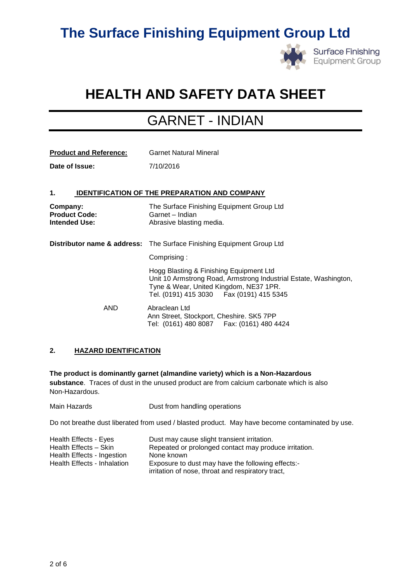

**Surface Finishing Equipment Group** 

# **HEALTH AND SAFETY DATA SHEET**

# GARNET - INDIAN

| <b>Product and Reference:</b>                            | <b>Garnet Natural Mineral</b>                                                                                                                                                                       |  |
|----------------------------------------------------------|-----------------------------------------------------------------------------------------------------------------------------------------------------------------------------------------------------|--|
| Date of Issue:                                           | 7/10/2016                                                                                                                                                                                           |  |
|                                                          |                                                                                                                                                                                                     |  |
| 1.                                                       | <b>IDENTIFICATION OF THE PREPARATION AND COMPANY</b>                                                                                                                                                |  |
| Company:<br><b>Product Code:</b><br><b>Intended Use:</b> | The Surface Finishing Equipment Group Ltd<br>Garnet - Indian<br>Abrasive blasting media.                                                                                                            |  |
|                                                          | <b>Distributor name &amp; address:</b> The Surface Finishing Equipment Group Ltd                                                                                                                    |  |
|                                                          | Comprising:                                                                                                                                                                                         |  |
|                                                          | Hogg Blasting & Finishing Equipment Ltd<br>Unit 10 Armstrong Road, Armstrong Industrial Estate, Washington,<br>Tyne & Wear, United Kingdom, NE37 1PR.<br>Tel. (0191) 415 3030   Fax (0191) 415 5345 |  |
| AND                                                      | Abraclean Ltd<br>Ann Street, Stockport, Cheshire. SK5 7PP<br>Tel: (0161) 480 8087    Fax: (0161) 480 4424                                                                                           |  |

# **2. HAZARD IDENTIFICATION**

**The product is dominantly garnet (almandine variety) which is a Non-Hazardous substance**. Traces of dust in the unused product are from calcium carbonate which is also Non-Hazardous.

Main Hazards **Dust from handling operations** 

Do not breathe dust liberated from used / blasted product. May have become contaminated by use.

| Health Effects - Eyes       | Dust may cause slight transient irritation.           |
|-----------------------------|-------------------------------------------------------|
| Health Effects - Skin       | Repeated or prolonged contact may produce irritation. |
| Health Effects - Ingestion  | None known                                            |
| Health Effects - Inhalation | Exposure to dust may have the following effects:-     |
|                             | irritation of nose, throat and respiratory tract,     |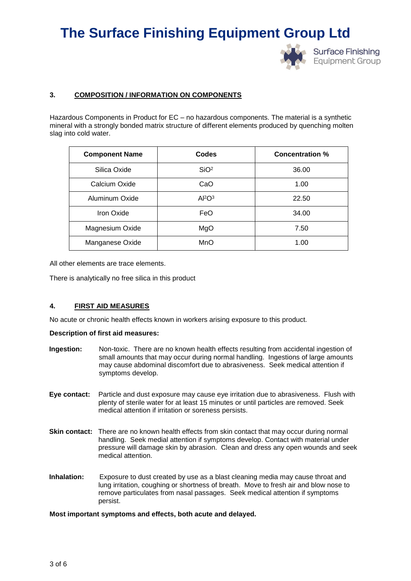

**Surface Finishing Equipment Group** 

## **3. COMPOSITION / INFORMATION ON COMPONENTS**

Hazardous Components in Product for EC – no hazardous components. The material is a synthetic mineral with a strongly bonded matrix structure of different elements produced by quenching molten slag into cold water.

| <b>Component Name</b> | <b>Codes</b>                   | <b>Concentration %</b> |
|-----------------------|--------------------------------|------------------------|
| Silica Oxide          | SiO <sup>2</sup>               | 36.00                  |
| Calcium Oxide         | CaO                            | 1.00                   |
| Aluminum Oxide        | Al <sup>2</sup> O <sup>3</sup> | 22.50                  |
| Iron Oxide            | FeO                            | 34.00                  |
| Magnesium Oxide       | MgO                            | 7.50                   |
| Manganese Oxide       | MnO                            | 1.00                   |

All other elements are trace elements.

There is analytically no free silica in this product

## **4. FIRST AID MEASURES**

No acute or chronic health effects known in workers arising exposure to this product.

#### **Description of first aid measures:**

- **Ingestion:** Non-toxic. There are no known health effects resulting from accidental ingestion of small amounts that may occur during normal handling. Ingestions of large amounts may cause abdominal discomfort due to abrasiveness. Seek medical attention if symptoms develop.
- **Eye contact:** Particle and dust exposure may cause eye irritation due to abrasiveness. Flush with plenty of sterile water for at least 15 minutes or until particles are removed. Seek medical attention if irritation or soreness persists.
- **Skin contact:** There are no known health effects from skin contact that may occur during normal handling. Seek medial attention if symptoms develop. Contact with material under pressure will damage skin by abrasion. Clean and dress any open wounds and seek medical attention.
- **Inhalation:** Exposure to dust created by use as a blast cleaning media may cause throat and lung irritation, coughing or shortness of breath. Move to fresh air and blow nose to remove particulates from nasal passages. Seek medical attention if symptoms persist.

#### **Most important symptoms and effects, both acute and delayed.**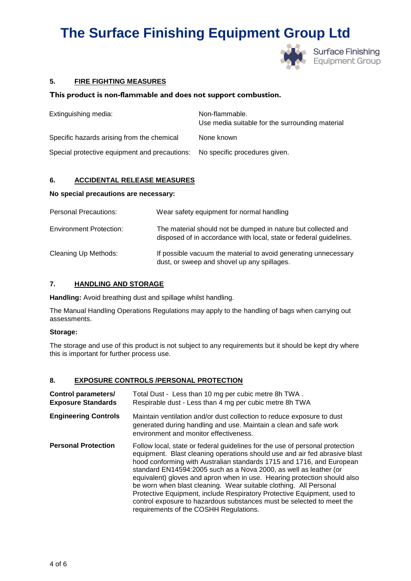

# **5. FIRE FIGHTING MEASURES**

## **This product is non-flammable and does not support combustion.**

| Extinguishing media:                                                        | Non-flammable.<br>Use media suitable for the surrounding material |
|-----------------------------------------------------------------------------|-------------------------------------------------------------------|
| Specific hazards arising from the chemical                                  | None known                                                        |
| Special protective equipment and precautions: No specific procedures given. |                                                                   |

# **6. ACCIDENTAL RELEASE MEASURES**

#### **No special precautions are necessary:**

| <b>Personal Precautions:</b>   | Wear safety equipment for normal handling                                                                                           |
|--------------------------------|-------------------------------------------------------------------------------------------------------------------------------------|
| <b>Environment Protection:</b> | The material should not be dumped in nature but collected and<br>disposed of in accordance with local, state or federal guidelines. |
| Cleaning Up Methods:           | If possible vacuum the material to avoid generating unnecessary<br>dust, or sweep and shovel up any spillages.                      |

# **7. HANDLING AND STORAGE**

**Handling:** Avoid breathing dust and spillage whilst handling.

The Manual Handling Operations Regulations may apply to the handling of bags when carrying out assessments.

#### **Storage:**

The storage and use of this product is not subject to any requirements but it should be kept dry where this is important for further process use.

# **8. EXPOSURE CONTROLS /PERSONAL PROTECTION**

| <b>Control parameters/</b><br><b>Exposure Standards</b> | Total Dust - Less than 10 mg per cubic metre 8h TWA.<br>Respirable dust - Less than 4 mg per cubic metre 8h TWA                                                                                                                                                                                                                                                                                                                                                                                                                                                                                                                                         |
|---------------------------------------------------------|---------------------------------------------------------------------------------------------------------------------------------------------------------------------------------------------------------------------------------------------------------------------------------------------------------------------------------------------------------------------------------------------------------------------------------------------------------------------------------------------------------------------------------------------------------------------------------------------------------------------------------------------------------|
| <b>Engineering Controls</b>                             | Maintain ventilation and/or dust collection to reduce exposure to dust<br>generated during handling and use. Maintain a clean and safe work<br>environment and monitor effectiveness.                                                                                                                                                                                                                                                                                                                                                                                                                                                                   |
| <b>Personal Protection</b>                              | Follow local, state or federal guidelines for the use of personal protection<br>equipment. Blast cleaning operations should use and air fed abrasive blast<br>hood conforming with Australian standards 1715 and 1716, and European<br>standard EN14594:2005 such as a Nova 2000, as well as leather (or<br>equivalent) gloves and apron when in use. Hearing protection should also<br>be worn when blast cleaning. Wear suitable clothing. All Personal<br>Protective Equipment, include Respiratory Protective Equipment, used to<br>control exposure to hazardous substances must be selected to meet the<br>requirements of the COSHH Regulations. |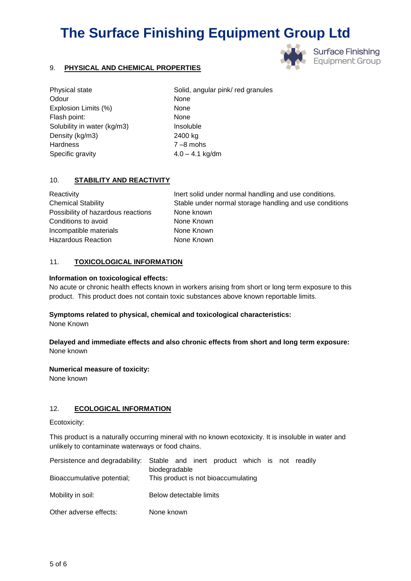# 9. **PHYSICAL AND CHEMICAL PROPERTIES**

Odour None Explosion Limits (%) None Flash point: None Solubility in water (kg/m3) lnsoluble Density (kg/m3) 2400 kg Hardness 7-8 mohs Specific gravity 4.0 – 4.1 kg/dm

Physical state Solid, angular pink/ red granules

# 10. **STABILITY AND REACTIVITY**

Possibility of hazardous reactions None known Conditions to avoid None Known Incompatible materials None Known Hazardous Reaction None Known

Reactivity **Inert solid under normal handling and use conditions.** Chemical Stability Stable under normal storage handling and use conditions

**Surface Finishing Equipment Group** 

## 11. **TOXICOLOGICAL INFORMATION**

#### **Information on toxicological effects:**

No acute or chronic health effects known in workers arising from short or long term exposure to this product. This product does not contain toxic substances above known reportable limits.

## **Symptoms related to physical, chemical and toxicological characteristics:**

None Known

#### **Delayed and immediate effects and also chronic effects from short and long term exposure:**  None known

#### **Numerical measure of toxicity:**

None known

## 12. **ECOLOGICAL INFORMATION**

Ecotoxicity:

This product is a naturally occurring mineral with no known ecotoxicity. It is insoluble in water and unlikely to contaminate waterways or food chains.

|                            | Persistence and degradability: Stable and inert product which is not readily |
|----------------------------|------------------------------------------------------------------------------|
|                            | biodegradable                                                                |
| Bioaccumulative potential; | This product is not bioaccumulating                                          |
|                            |                                                                              |
| Mobility in soil:          | Below detectable limits                                                      |
|                            |                                                                              |
| Other adverse effects:     | None known                                                                   |